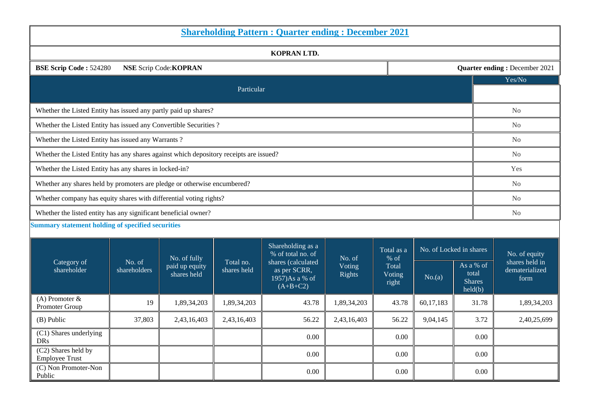| <b>Shareholding Pattern : Quarter ending : December 2021</b>                                           |              |                               |                                                                                                                                                          |                          |             |                                                |                        |                         |                                 |  |  |
|--------------------------------------------------------------------------------------------------------|--------------|-------------------------------|----------------------------------------------------------------------------------------------------------------------------------------------------------|--------------------------|-------------|------------------------------------------------|------------------------|-------------------------|---------------------------------|--|--|
| KOPRAN LTD.                                                                                            |              |                               |                                                                                                                                                          |                          |             |                                                |                        |                         |                                 |  |  |
| <b>BSE Scrip Code: 524280</b><br><b>NSE Scrip Code: KOPRAN</b><br><b>Quarter ending: December 2021</b> |              |                               |                                                                                                                                                          |                          |             |                                                |                        |                         |                                 |  |  |
|                                                                                                        |              |                               |                                                                                                                                                          |                          |             |                                                |                        |                         | Yes/No                          |  |  |
|                                                                                                        |              |                               | Particular                                                                                                                                               |                          |             |                                                |                        |                         |                                 |  |  |
| Whether the Listed Entity has issued any partly paid up shares?                                        |              | No                            |                                                                                                                                                          |                          |             |                                                |                        |                         |                                 |  |  |
| Whether the Listed Entity has issued any Convertible Securities ?                                      |              |                               |                                                                                                                                                          |                          |             |                                                |                        |                         | N <sub>o</sub>                  |  |  |
| Whether the Listed Entity has issued any Warrants?                                                     |              |                               |                                                                                                                                                          |                          |             |                                                |                        |                         | N <sub>o</sub>                  |  |  |
| Whether the Listed Entity has any shares against which depository receipts are issued?                 |              | No                            |                                                                                                                                                          |                          |             |                                                |                        |                         |                                 |  |  |
| Whether the Listed Entity has any shares in locked-in?                                                 |              | Yes                           |                                                                                                                                                          |                          |             |                                                |                        |                         |                                 |  |  |
| Whether any shares held by promoters are pledge or otherwise encumbered?                               |              | N <sub>o</sub>                |                                                                                                                                                          |                          |             |                                                |                        |                         |                                 |  |  |
| Whether company has equity shares with differential voting rights?                                     |              |                               |                                                                                                                                                          |                          |             |                                                |                        |                         | N <sub>o</sub>                  |  |  |
| Whether the listed entity has any significant beneficial owner?                                        |              |                               |                                                                                                                                                          |                          |             |                                                |                        |                         | N <sub>o</sub>                  |  |  |
| <b>Summary statement holding of specified securities</b>                                               |              |                               |                                                                                                                                                          |                          |             |                                                |                        |                         |                                 |  |  |
|                                                                                                        |              |                               |                                                                                                                                                          | Shareholding as a        |             |                                                |                        | No. of Locked in shares |                                 |  |  |
| Category of                                                                                            | No. of       | No. of fully                  | % of total no. of<br>No. of<br>Total no.<br>shares (calculated<br>Voting<br>shares held<br>as per SCRR,<br><b>Rights</b><br>1957)As a % of<br>$(A+B+C2)$ |                          |             | Total as a<br>% of                             |                        |                         | No. of equity<br>shares held in |  |  |
| shareholder                                                                                            | shareholders | paid up equity<br>shares held |                                                                                                                                                          | Total<br>Voting<br>right | No.(a)      | As a % of<br>total<br><b>Shares</b><br>held(b) | dematerialized<br>form |                         |                                 |  |  |
| (A) Promoter $&$<br>Promoter Group                                                                     | 19           | 1,89,34,203                   | 1,89,34,203                                                                                                                                              | 43.78                    | 1,89,34,203 | 43.78                                          | 60,17,183              | 31.78                   | 1,89,34,203                     |  |  |
| (B) Public                                                                                             | 37,803       | 2,43,16,403                   | 2,43,16,403                                                                                                                                              | 56.22                    | 2,43,16,403 | 56.22                                          | 9,04,145               | 3.72                    | 2,40,25,699                     |  |  |
| (C1) Shares underlying<br><b>DRs</b>                                                                   |              |                               |                                                                                                                                                          | 0.00                     |             | 0.00                                           |                        | 0.00                    |                                 |  |  |
| (C2) Shares held by<br><b>Employee Trust</b>                                                           |              |                               |                                                                                                                                                          | 0.00                     |             | 0.00                                           |                        | 0.00                    |                                 |  |  |
| (C) Non Promoter-Non<br>Public                                                                         |              |                               |                                                                                                                                                          | 0.00                     |             | 0.00                                           |                        | 0.00                    |                                 |  |  |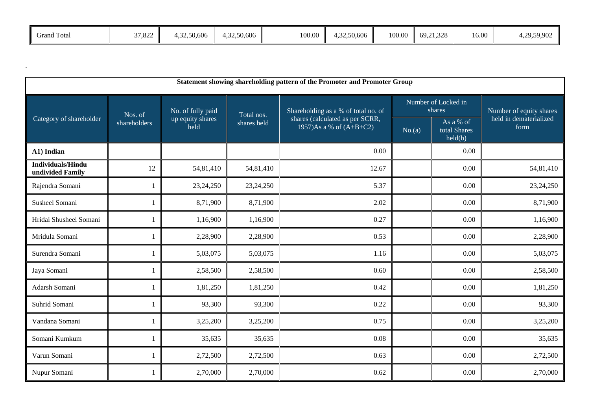| . .<br>$\sim$<br>Grand Total | 37,822 | 4,32,50,606 | +,32,50,606 | 100.00 | 1.32.50.606<br>$\overline{\phantom{a}}$ | 100.00 | 69, 21, 328 | 16.00 | 4,29,59,902 |
|------------------------------|--------|-------------|-------------|--------|-----------------------------------------|--------|-------------|-------|-------------|
|                              |        |             |             |        |                                         |        |             |       |             |

.

| Statement showing shareholding pattern of the Promoter and Promoter Group |              |                          |             |                                                              |        |                                      |                                |  |  |  |
|---------------------------------------------------------------------------|--------------|--------------------------|-------------|--------------------------------------------------------------|--------|--------------------------------------|--------------------------------|--|--|--|
|                                                                           | Nos. of      | No. of fully paid        | Total nos.  | Shareholding as a % of total no. of                          |        | Number of Locked in<br>shares        | Number of equity shares        |  |  |  |
| Category of shareholder                                                   | shareholders | up equity shares<br>held | shares held | shares (calculated as per SCRR,<br>1957)As a % of $(A+B+C2)$ | No.(a) | As a % of<br>total Shares<br>held(b) | held in dematerialized<br>form |  |  |  |
| A1) Indian                                                                |              |                          |             | 0.00                                                         |        | 0.00                                 |                                |  |  |  |
| <b>Individuals/Hindu</b><br>undivided Family                              | 12           | 54,81,410                | 54,81,410   | 12.67                                                        |        | 0.00                                 | 54,81,410                      |  |  |  |
| Rajendra Somani                                                           |              | 23,24,250                | 23,24,250   | 5.37                                                         |        | 0.00                                 | 23,24,250                      |  |  |  |
| Susheel Somani                                                            |              | 8,71,900                 | 8,71,900    | 2.02                                                         |        | 0.00                                 | 8,71,900                       |  |  |  |
| Hridai Shusheel Somani                                                    |              | 1,16,900                 | 1,16,900    | 0.27                                                         |        | 0.00                                 | 1,16,900                       |  |  |  |
| Mridula Somani                                                            |              | 2,28,900                 | 2,28,900    | 0.53                                                         |        | 0.00                                 | 2,28,900                       |  |  |  |
| Surendra Somani                                                           |              | 5,03,075                 | 5,03,075    | 1.16                                                         |        | 0.00                                 | 5,03,075                       |  |  |  |
| Jaya Somani                                                               |              | 2,58,500                 | 2,58,500    | 0.60                                                         |        | 0.00                                 | 2,58,500                       |  |  |  |
| Adarsh Somani                                                             |              | 1,81,250                 | 1,81,250    | 0.42                                                         |        | 0.00                                 | 1,81,250                       |  |  |  |
| Suhrid Somani                                                             | $\mathbf{1}$ | 93,300                   | 93,300      | 0.22                                                         |        | 0.00                                 | 93,300                         |  |  |  |
| Vandana Somani                                                            |              | 3,25,200                 | 3,25,200    | 0.75                                                         |        | 0.00                                 | 3,25,200                       |  |  |  |
| Somani Kumkum                                                             |              | 35,635                   | 35,635      | 0.08                                                         |        | 0.00                                 | 35,635                         |  |  |  |
| Varun Somani                                                              |              | 2,72,500                 | 2,72,500    | 0.63                                                         |        | 0.00                                 | 2,72,500                       |  |  |  |
| Nupur Somani                                                              |              | 2,70,000                 | 2,70,000    | 0.62                                                         |        | 0.00                                 | 2,70,000                       |  |  |  |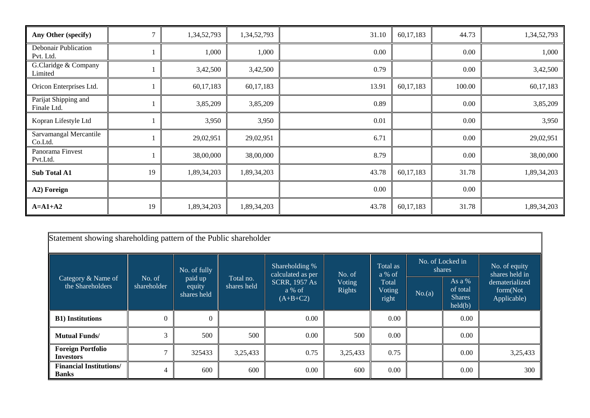| Any Other (specify)                 |    | 1,34,52,793 | 1,34,52,793 | 31.10 | 60,17,183 | 44.73    | 1,34,52,793 |
|-------------------------------------|----|-------------|-------------|-------|-----------|----------|-------------|
| Debonair Publication<br>Pvt. Ltd.   |    | 1,000       | 1,000       | 0.00  |           | 0.00     | 1,000       |
| G.Claridge & Company<br>Limited     |    | 3,42,500    | 3,42,500    | 0.79  |           | $0.00\,$ | 3,42,500    |
| Oricon Enterprises Ltd.             |    | 60,17,183   | 60,17,183   | 13.91 | 60,17,183 | 100.00   | 60,17,183   |
| Parijat Shipping and<br>Finale Ltd. |    | 3,85,209    | 3,85,209    | 0.89  |           | 0.00     | 3,85,209    |
| Kopran Lifestyle Ltd                |    | 3,950       | 3,950       | 0.01  |           | 0.00     | 3,950       |
| Sarvamangal Mercantile<br>Co.Ltd.   |    | 29,02,951   | 29,02,951   | 6.71  |           | 0.00     | 29,02,951   |
| Panorama Finvest<br>Pvt.Ltd.        |    | 38,00,000   | 38,00,000   | 8.79  |           | 0.00     | 38,00,000   |
| Sub Total A1                        | 19 | 1,89,34,203 | 1,89,34,203 | 43.78 | 60,17,183 | 31.78    | 1,89,34,203 |
| A2) Foreign                         |    |             |             | 0.00  |           | 0.00     |             |
| $A=A1+A2$                           | 19 | 1,89,34,203 | 1,89,34,203 | 43.78 | 60,17,183 | 31.78    | 1,89,34,203 |

| Statement showing shareholding pattern of the Public shareholder |                       |                                                  |                          |                                              |                                   |                                                |        |                                                  |                                           |  |
|------------------------------------------------------------------|-----------------------|--------------------------------------------------|--------------------------|----------------------------------------------|-----------------------------------|------------------------------------------------|--------|--------------------------------------------------|-------------------------------------------|--|
| Category & Name of<br>the Shareholders                           | No. of<br>shareholder | No. of fully<br>paid up<br>equity<br>shares held | Total no.<br>shares held | Shareholding %<br>calculated as per          | No. of<br>Voting<br><b>Rights</b> | Total as<br>a % of<br>Total<br>Voting<br>right |        | No. of Locked in<br>shares                       | No. of equity<br>shares held in           |  |
|                                                                  |                       |                                                  |                          | <b>SCRR, 1957 As</b><br>a % of<br>$(A+B+C2)$ |                                   |                                                | No.(a) | As a $%$<br>of total<br><b>Shares</b><br>held(b) | dematerialized<br>form(Not<br>Applicable) |  |
| <b>B1)</b> Institutions                                          | $\boldsymbol{0}$      | $\Omega$                                         |                          | 0.00                                         |                                   | 0.00                                           |        | $0.00\,$                                         |                                           |  |
| <b>Mutual Funds/</b>                                             | 3                     | 500                                              | 500                      | 0.00                                         | 500                               | 0.00                                           |        | 0.00                                             |                                           |  |
| <b>Foreign Portfolio</b><br><b>Investors</b>                     | $\mathcal{I}$         | 325433                                           | 3,25,433                 | 0.75                                         | 3,25,433                          | 0.75                                           |        | $0.00\,$                                         | 3,25,433                                  |  |
| <b>Financial Institutions/</b><br>Banks                          | $\overline{4}$        | 600                                              | 600                      | 0.00                                         | 600                               | 0.00                                           |        | 0.00                                             | 300                                       |  |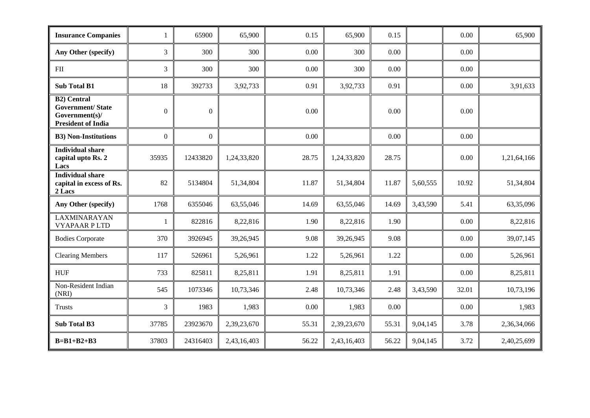| <b>Insurance Companies</b>                                                                   | 1              | 65900            | 65,900      | 0.15  | 65,900      | 0.15  |          | 0.00  | 65,900      |
|----------------------------------------------------------------------------------------------|----------------|------------------|-------------|-------|-------------|-------|----------|-------|-------------|
| Any Other (specify)                                                                          | 3              | 300              | 300         | 0.00  | 300         | 0.00  |          | 0.00  |             |
| <b>FII</b>                                                                                   | 3              | 300              | 300         | 0.00  | 300         | 0.00  |          | 0.00  |             |
| <b>Sub Total B1</b>                                                                          | 18             | 392733           | 3,92,733    | 0.91  | 3,92,733    | 0.91  |          | 0.00  | 3,91,633    |
| <b>B2)</b> Central<br><b>Government/State</b><br>Government(s)/<br><b>President of India</b> | $\overline{0}$ | $\boldsymbol{0}$ |             | 0.00  |             | 0.00  |          | 0.00  |             |
| <b>B3)</b> Non-Institutions                                                                  | $\overline{0}$ | $\overline{0}$   |             | 0.00  |             | 0.00  |          | 0.00  |             |
| <b>Individual share</b><br>capital upto Rs. 2<br>Lacs                                        | 35935          | 12433820         | 1,24,33,820 | 28.75 | 1,24,33,820 | 28.75 |          | 0.00  | 1,21,64,166 |
| <b>Individual share</b><br>capital in excess of Rs.<br>2 Lacs                                | 82             | 5134804          | 51,34,804   | 11.87 | 51,34,804   | 11.87 | 5,60,555 | 10.92 | 51,34,804   |
| Any Other (specify)                                                                          | 1768           | 6355046          | 63,55,046   | 14.69 | 63,55,046   | 14.69 | 3,43,590 | 5.41  | 63,35,096   |
| <b>LAXMINARAYAN</b><br><b>VYAPAAR PLTD</b>                                                   | $\mathbf{1}$   | 822816           | 8,22,816    | 1.90  | 8,22,816    | 1.90  |          | 0.00  | 8,22,816    |
| <b>Bodies Corporate</b>                                                                      | 370            | 3926945          | 39,26,945   | 9.08  | 39,26,945   | 9.08  |          | 0.00  | 39,07,145   |
| <b>Clearing Members</b>                                                                      | 117            | 526961           | 5,26,961    | 1.22  | 5,26,961    | 1.22  |          | 0.00  | 5,26,961    |
| <b>HUF</b>                                                                                   | 733            | 825811           | 8,25,811    | 1.91  | 8,25,811    | 1.91  |          | 0.00  | 8,25,811    |
| Non-Resident Indian<br>(NRI)                                                                 | 545            | 1073346          | 10,73,346   | 2.48  | 10,73,346   | 2.48  | 3,43,590 | 32.01 | 10,73,196   |
| <b>Trusts</b>                                                                                | 3              | 1983             | 1,983       | 0.00  | 1,983       | 0.00  |          | 0.00  | 1,983       |
| <b>Sub Total B3</b>                                                                          | 37785          | 23923670         | 2,39,23,670 | 55.31 | 2,39,23,670 | 55.31 | 9,04,145 | 3.78  | 2,36,34,066 |
| $B=B1+B2+B3$                                                                                 | 37803          | 24316403         | 2,43,16,403 | 56.22 | 2,43,16,403 | 56.22 | 9,04,145 | 3.72  | 2,40,25,699 |